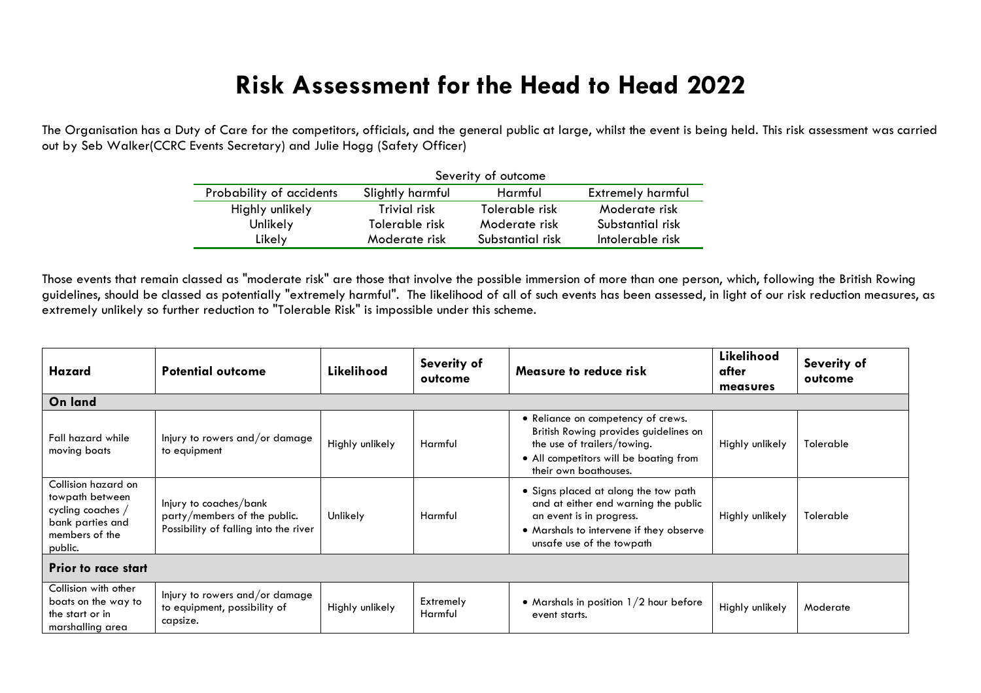## **Risk Assessment for the Head to Head 2022**

The Organisation has a Duty of Care for the competitors, officials, and the general public at large, whilst the event is being held. This risk assessment was carried out by Seb Walker(CCRC Events Secretary) and Julie Hogg (Safety Officer)

|                          | Severity of outcome             |                  |                          |  |  |  |
|--------------------------|---------------------------------|------------------|--------------------------|--|--|--|
| Probability of accidents | Slightly harmful                | Harmful          | <b>Extremely harmful</b> |  |  |  |
| Highly unlikely          | Trivial risk                    | Tolerable risk   | Moderate risk            |  |  |  |
| Unlikely                 | Tolerable risk<br>Moderate risk |                  | Substantial risk         |  |  |  |
| Likely                   | Moderate risk                   | Substantial risk | Intolerable risk         |  |  |  |

Those events that remain classed as "moderate risk" are those that involve the possible immersion of more than one person, which, following the British Rowing guidelines, should be classed as potentially "extremely harmful". The likelihood of all of such events has been assessed, in light of our risk reduction measures, as extremely unlikely so further reduction to "Tolerable Risk" is impossible under this scheme.

| Hazard                                                                                                       | <b>Potential outcome</b>                                                                        | Likelihood      | Severity of<br>outcome | Measure to reduce risk                                                                                                                                                           | Likelihood<br>after<br>measures | Severity of<br>outcome |  |
|--------------------------------------------------------------------------------------------------------------|-------------------------------------------------------------------------------------------------|-----------------|------------------------|----------------------------------------------------------------------------------------------------------------------------------------------------------------------------------|---------------------------------|------------------------|--|
| On land                                                                                                      |                                                                                                 |                 |                        |                                                                                                                                                                                  |                                 |                        |  |
| Fall hazard while<br>moving boats                                                                            | Injury to rowers and/or damage<br>to equipment                                                  | Highly unlikely | Harmful                | • Reliance on competency of crews.<br>British Rowing provides guidelines on<br>the use of trailers/towing.<br>• All competitors will be boating from<br>their own boathouses.    | Highly unlikely                 | Tolerable              |  |
| Collision hazard on<br>towpath between<br>cycling coaches /<br>bank parties and<br>members of the<br>public. | Injury to coaches/bank<br>party/members of the public.<br>Possibility of falling into the river | Unlikely        | Harmful                | • Signs placed at along the tow path<br>and at either end warning the public<br>an event is in progress.<br>• Marshals to intervene if they observe<br>unsafe use of the towpath | Highly unlikely                 | Tolerable              |  |
| <b>Prior to race start</b>                                                                                   |                                                                                                 |                 |                        |                                                                                                                                                                                  |                                 |                        |  |
| Collision with other<br>boats on the way to<br>the start or in<br>marshalling area                           | Injury to rowers and/or damage<br>to equipment, possibility of<br>capsize.                      | Highly unlikely | Extremely<br>Harmful   | • Marshals in position $1/2$ hour before<br>event starts.                                                                                                                        | Highly unlikely                 | Moderate               |  |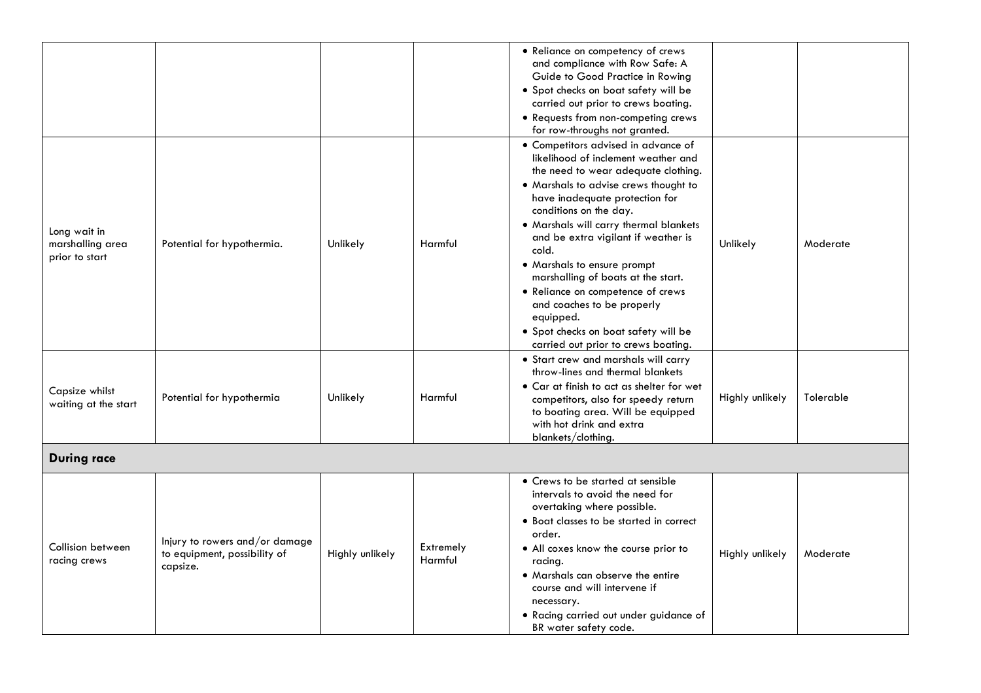|                                                    |                                                                            |                 |                      | • Reliance on competency of crews<br>and compliance with Row Safe: A<br>Guide to Good Practice in Rowing<br>• Spot checks on boat safety will be<br>carried out prior to crews boating.<br>• Requests from non-competing crews<br>for row-throughs not granted.                                                                                                                                                                                                                                                                                      |                 |           |
|----------------------------------------------------|----------------------------------------------------------------------------|-----------------|----------------------|------------------------------------------------------------------------------------------------------------------------------------------------------------------------------------------------------------------------------------------------------------------------------------------------------------------------------------------------------------------------------------------------------------------------------------------------------------------------------------------------------------------------------------------------------|-----------------|-----------|
| Long wait in<br>marshalling area<br>prior to start | Potential for hypothermia.                                                 | Unlikely        | Harmful              | • Competitors advised in advance of<br>likelihood of inclement weather and<br>the need to wear adequate clothing.<br>. Marshals to advise crews thought to<br>have inadequate protection for<br>conditions on the day.<br>. Marshals will carry thermal blankets<br>and be extra vigilant if weather is<br>cold.<br>• Marshals to ensure prompt<br>marshalling of boats at the start.<br>• Reliance on competence of crews<br>and coaches to be properly<br>equipped.<br>· Spot checks on boat safety will be<br>carried out prior to crews boating. | Unlikely        | Moderate  |
| Capsize whilst<br>waiting at the start             | Potential for hypothermia                                                  | Unlikely        | Harmful              | • Start crew and marshals will carry<br>throw-lines and thermal blankets<br>• Car at finish to act as shelter for wet<br>competitors, also for speedy return<br>to boating area. Will be equipped<br>with hot drink and extra<br>blankets/clothing.                                                                                                                                                                                                                                                                                                  | Highly unlikely | Tolerable |
| <b>During race</b>                                 |                                                                            |                 |                      |                                                                                                                                                                                                                                                                                                                                                                                                                                                                                                                                                      |                 |           |
| Collision between<br>racing crews                  | Injury to rowers and/or damage<br>to equipment, possibility of<br>capsize. | Highly unlikely | Extremely<br>Harmful | • Crews to be started at sensible<br>intervals to avoid the need for<br>overtaking where possible.<br>• Boat classes to be started in correct<br>order.<br>• All coxes know the course prior to<br>racing.<br>• Marshals can observe the entire<br>course and will intervene if<br>necessary.<br>. Racing carried out under guidance of<br>BR water safety code.                                                                                                                                                                                     | Highly unlikely | Moderate  |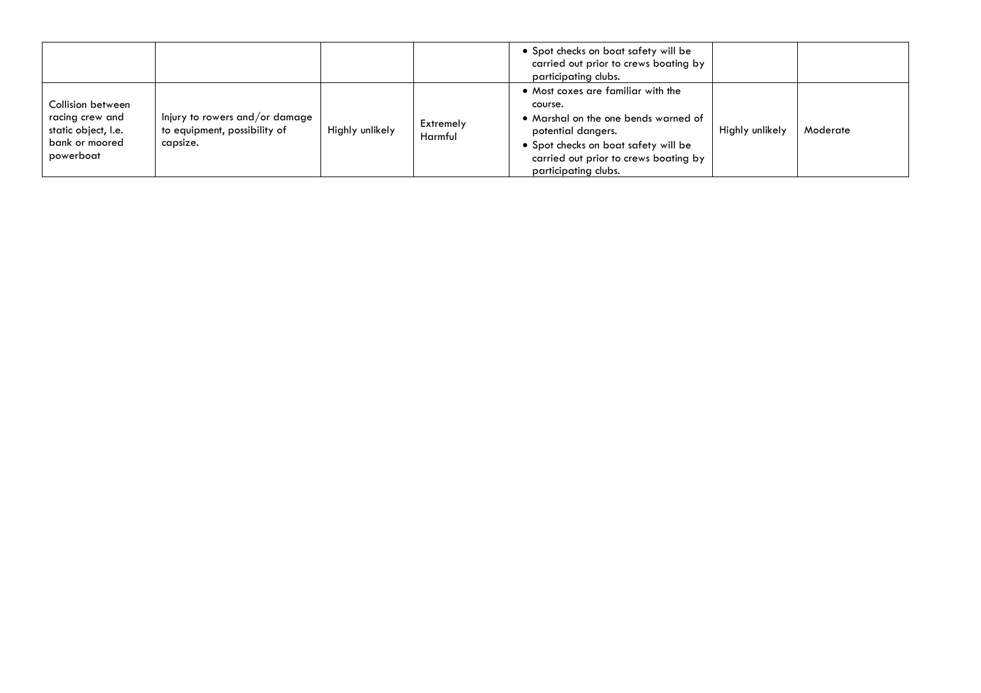|                                                                                            |                                                                            |                 |                      | • Spot checks on boat safety will be<br>carried out prior to crews boating by<br>participating clubs.                                                                                                                |                 |          |
|--------------------------------------------------------------------------------------------|----------------------------------------------------------------------------|-----------------|----------------------|----------------------------------------------------------------------------------------------------------------------------------------------------------------------------------------------------------------------|-----------------|----------|
| Collision between<br>racing crew and<br>static object, I.e.<br>bank or moored<br>powerboat | Injury to rowers and/or damage<br>to equipment, possibility of<br>capsize. | Highly unlikely | Extremely<br>Harmful | • Most coxes are familiar with the<br>course.<br>• Marshal on the one bends warned of<br>potential dangers.<br>• Spot checks on boat safety will be<br>carried out prior to crews boating by<br>participating clubs. | Highly unlikely | Moderate |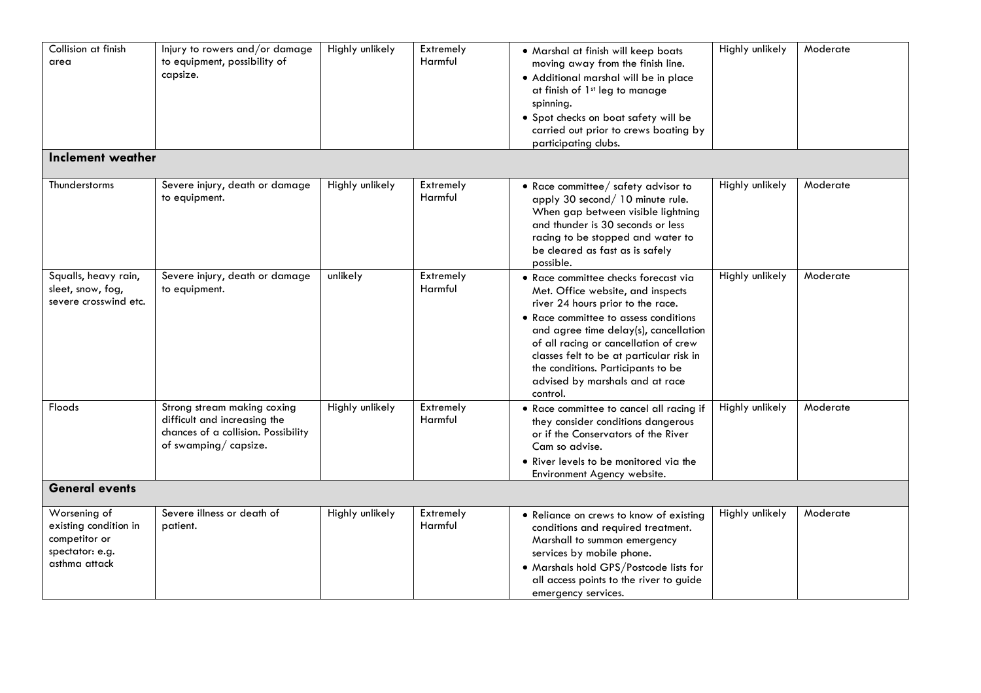| Collision at finish<br>area                                                                | Injury to rowers and/or damage<br>to equipment, possibility of<br>capsize.                                                 | Highly unlikely | Extremely<br>Harmful        | • Marshal at finish will keep boats<br>moving away from the finish line.<br>· Additional marshal will be in place<br>at finish of 1st leg to manage<br>spinning.<br>· Spot checks on boat safety will be<br>carried out prior to crews boating by<br>participating clubs.                                                                                                  | Highly unlikely | Moderate |
|--------------------------------------------------------------------------------------------|----------------------------------------------------------------------------------------------------------------------------|-----------------|-----------------------------|----------------------------------------------------------------------------------------------------------------------------------------------------------------------------------------------------------------------------------------------------------------------------------------------------------------------------------------------------------------------------|-----------------|----------|
| Inclement weather                                                                          |                                                                                                                            |                 |                             |                                                                                                                                                                                                                                                                                                                                                                            |                 |          |
| Thunderstorms                                                                              | Severe injury, death or damage<br>to equipment.                                                                            | Highly unlikely | Extremely<br>Harmful        | • Race committee/ safety advisor to<br>apply 30 second/10 minute rule.<br>When gap between visible lightning<br>and thunder is 30 seconds or less<br>racing to be stopped and water to<br>be cleared as fast as is safely<br>possible.                                                                                                                                     | Highly unlikely | Moderate |
| Squalls, heavy rain,<br>sleet, snow, fog,<br>severe crosswind etc.                         | Severe injury, death or damage<br>to equipment.                                                                            | unlikely        | Extremely<br>Harmful        | • Race committee checks forecast via<br>Met. Office website, and inspects<br>river 24 hours prior to the race.<br>• Race committee to assess conditions<br>and agree time delay(s), cancellation<br>of all racing or cancellation of crew<br>classes felt to be at particular risk in<br>the conditions. Participants to be<br>advised by marshals and at race<br>control. | Highly unlikely | Moderate |
| <b>Floods</b>                                                                              | Strong stream making coxing<br>difficult and increasing the<br>chances of a collision. Possibility<br>of swamping/capsize. | Highly unlikely | Extremely<br><b>Harmful</b> | • Race committee to cancel all racing if<br>they consider conditions dangerous<br>or if the Conservators of the River<br>Cam so advise.<br>. River levels to be monitored via the<br>Environment Agency website.                                                                                                                                                           | Highly unlikely | Moderate |
| <b>General events</b>                                                                      |                                                                                                                            |                 |                             |                                                                                                                                                                                                                                                                                                                                                                            |                 |          |
| Worsening of<br>existing condition in<br>competitor or<br>spectator: e.g.<br>asthma attack | Severe illness or death of<br>patient.                                                                                     | Highly unlikely | Extremely<br>Harmful        | • Reliance on crews to know of existing<br>conditions and required treatment.<br>Marshall to summon emergency<br>services by mobile phone.<br>. Marshals hold GPS/Postcode lists for<br>all access points to the river to guide<br>emergency services.                                                                                                                     | Highly unlikely | Moderate |